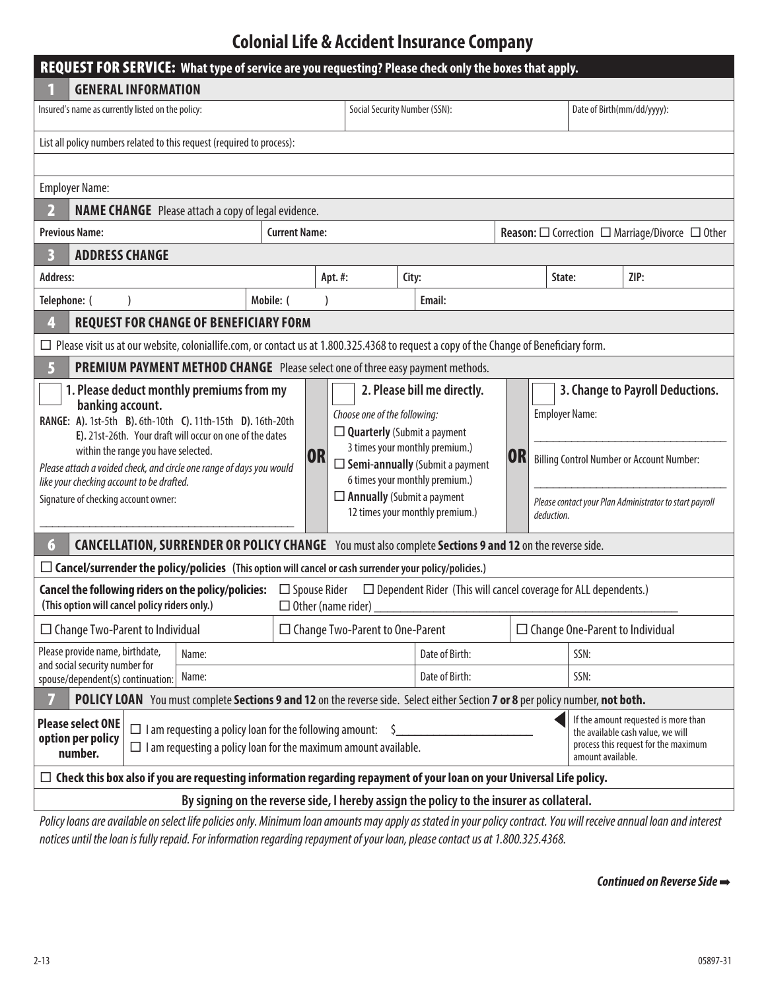## **Colonial Life & Accident Insurance Company**

| REQUEST FOR SERVICE: What type of service are you requesting? Please check only the boxes that apply.                                                                                                                                                                                                                                                                                        |                                                                                                                                                                                                                                                                                                      |                               |                |                                     |                                                                                                                                                 |                                                                                                                                        |  |  |
|----------------------------------------------------------------------------------------------------------------------------------------------------------------------------------------------------------------------------------------------------------------------------------------------------------------------------------------------------------------------------------------------|------------------------------------------------------------------------------------------------------------------------------------------------------------------------------------------------------------------------------------------------------------------------------------------------------|-------------------------------|----------------|-------------------------------------|-------------------------------------------------------------------------------------------------------------------------------------------------|----------------------------------------------------------------------------------------------------------------------------------------|--|--|
| <b>GENERAL INFORMATION</b>                                                                                                                                                                                                                                                                                                                                                                   |                                                                                                                                                                                                                                                                                                      |                               |                |                                     |                                                                                                                                                 |                                                                                                                                        |  |  |
| Insured's name as currently listed on the policy:                                                                                                                                                                                                                                                                                                                                            |                                                                                                                                                                                                                                                                                                      | Social Security Number (SSN): |                |                                     |                                                                                                                                                 | Date of Birth(mm/dd/yyyy):                                                                                                             |  |  |
| List all policy numbers related to this request (required to process):                                                                                                                                                                                                                                                                                                                       |                                                                                                                                                                                                                                                                                                      |                               |                |                                     |                                                                                                                                                 |                                                                                                                                        |  |  |
|                                                                                                                                                                                                                                                                                                                                                                                              |                                                                                                                                                                                                                                                                                                      |                               |                |                                     |                                                                                                                                                 |                                                                                                                                        |  |  |
| <b>Employer Name:</b>                                                                                                                                                                                                                                                                                                                                                                        |                                                                                                                                                                                                                                                                                                      |                               |                |                                     |                                                                                                                                                 |                                                                                                                                        |  |  |
| <b>NAME CHANGE</b> Please attach a copy of legal evidence.                                                                                                                                                                                                                                                                                                                                   |                                                                                                                                                                                                                                                                                                      |                               |                |                                     |                                                                                                                                                 |                                                                                                                                        |  |  |
| <b>Previous Name:</b><br><b>Current Name:</b>                                                                                                                                                                                                                                                                                                                                                |                                                                                                                                                                                                                                                                                                      |                               |                |                                     | <b>Reason:</b> $\square$ Correction $\square$ Marriage/Divorce $\square$ Other                                                                  |                                                                                                                                        |  |  |
| <b>ADDRESS CHANGE</b>                                                                                                                                                                                                                                                                                                                                                                        |                                                                                                                                                                                                                                                                                                      |                               |                |                                     |                                                                                                                                                 |                                                                                                                                        |  |  |
| Address:                                                                                                                                                                                                                                                                                                                                                                                     |                                                                                                                                                                                                                                                                                                      | Apt.#:                        | City:          | State:                              |                                                                                                                                                 | ZIP:                                                                                                                                   |  |  |
| Telephone: (                                                                                                                                                                                                                                                                                                                                                                                 | Mobile: (                                                                                                                                                                                                                                                                                            |                               | Email:         |                                     |                                                                                                                                                 |                                                                                                                                        |  |  |
| <b>REQUEST FOR CHANGE OF BENEFICIARY FORM</b><br>4                                                                                                                                                                                                                                                                                                                                           |                                                                                                                                                                                                                                                                                                      |                               |                |                                     |                                                                                                                                                 |                                                                                                                                        |  |  |
| $\Box$ Please visit us at our website, coloniallife.com, or contact us at 1.800.325.4368 to request a copy of the Change of Beneficiary form.                                                                                                                                                                                                                                                |                                                                                                                                                                                                                                                                                                      |                               |                |                                     |                                                                                                                                                 |                                                                                                                                        |  |  |
| PREMIUM PAYMENT METHOD CHANGE Please select one of three easy payment methods.<br>5                                                                                                                                                                                                                                                                                                          |                                                                                                                                                                                                                                                                                                      |                               |                |                                     |                                                                                                                                                 |                                                                                                                                        |  |  |
| 1. Please deduct monthly premiums from my<br>banking account.<br>RANGE: A). 1st-5th B). 6th-10th C). 11th-15th D). 16th-20th<br>E). 21st-26th. Your draft will occur on one of the dates<br>within the range you have selected.<br>Please attach a voided check, and circle one range of days you would<br>like your checking account to be drafted.<br>Signature of checking account owner: | 2. Please bill me directly.<br>Choose one of the following:<br>$\Box$ Quarterly (Submit a payment<br>3 times your monthly premium.)<br><b>OR</b><br>$\Box$ Semi-annually (Submit a payment<br>6 times your monthly premium.)<br>$\Box$ Annually (Submit a payment<br>12 times your monthly premium.) |                               |                | <b>Employer Name:</b><br>deduction. | 3. Change to Payroll Deductions.<br><b>Billing Control Number or Account Number:</b><br>Please contact your Plan Administrator to start payroll |                                                                                                                                        |  |  |
| CANCELLATION, SURRENDER OR POLICY CHANGE You must also complete Sections 9 and 12 on the reverse side.<br>$6\phantom{1}6$                                                                                                                                                                                                                                                                    |                                                                                                                                                                                                                                                                                                      |                               |                |                                     |                                                                                                                                                 |                                                                                                                                        |  |  |
| $\Box$ Cancel/surrender the policy/policies (This option will cancel or cash surrender your policy/policies.)                                                                                                                                                                                                                                                                                |                                                                                                                                                                                                                                                                                                      |                               |                |                                     |                                                                                                                                                 |                                                                                                                                        |  |  |
| <b>Cancel the following riders on the policy/policies:</b> $\Box$ Spouse Rider<br>$\Box$ Dependent Rider (This will cancel coverage for ALL dependents.)<br>(This option will cancel policy riders only.)<br>$\Box$ Other (name rider)                                                                                                                                                       |                                                                                                                                                                                                                                                                                                      |                               |                |                                     |                                                                                                                                                 |                                                                                                                                        |  |  |
| $\Box$ Change Two-Parent to Individual                                                                                                                                                                                                                                                                                                                                                       | $\Box$ Change Two-Parent to One-Parent                                                                                                                                                                                                                                                               |                               |                |                                     | $\Box$ Change One-Parent to Individual                                                                                                          |                                                                                                                                        |  |  |
| Please provide name, birthdate,<br>Name:                                                                                                                                                                                                                                                                                                                                                     |                                                                                                                                                                                                                                                                                                      |                               | Date of Birth: |                                     | SSN:                                                                                                                                            |                                                                                                                                        |  |  |
| and social security number for<br>Name:<br>spouse/dependent(s) continuation:                                                                                                                                                                                                                                                                                                                 |                                                                                                                                                                                                                                                                                                      | Date of Birth:                |                | SSN:                                |                                                                                                                                                 |                                                                                                                                        |  |  |
| POLICY LOAN You must complete Sections 9 and 12 on the reverse side. Select either Section 7 or 8 per policy number, not both.                                                                                                                                                                                                                                                               |                                                                                                                                                                                                                                                                                                      |                               |                |                                     |                                                                                                                                                 |                                                                                                                                        |  |  |
| <b>Please select ONE</b><br>$\Box$ I am requesting a policy loan for the following amount:<br>option per policy<br>$\Box$ I am requesting a policy loan for the maximum amount available.<br>number.                                                                                                                                                                                         |                                                                                                                                                                                                                                                                                                      |                               |                |                                     |                                                                                                                                                 | If the amount requested is more than<br>the available cash value, we will<br>process this request for the maximum<br>amount available. |  |  |
| $\Box$ Check this box also if you are requesting information regarding repayment of your loan on your Universal Life policy.                                                                                                                                                                                                                                                                 |                                                                                                                                                                                                                                                                                                      |                               |                |                                     |                                                                                                                                                 |                                                                                                                                        |  |  |
|                                                                                                                                                                                                                                                                                                                                                                                              | By signing on the reverse side, I hereby assign the policy to the insurer as collateral.<br>ilable en celest life nelisies only. Minimum legn ameryste neary                                                                                                                                         |                               |                |                                     |                                                                                                                                                 |                                                                                                                                        |  |  |

*Policy loans are available on select life policies only. Minimum loan amounts may apply as stated in your policy contract. You will receive annual loan and interest notices until the loan is fully repaid. For information regarding repayment of your loan, please contact us at 1.800.325.4368.* 

**Continued on Reverse Side →**